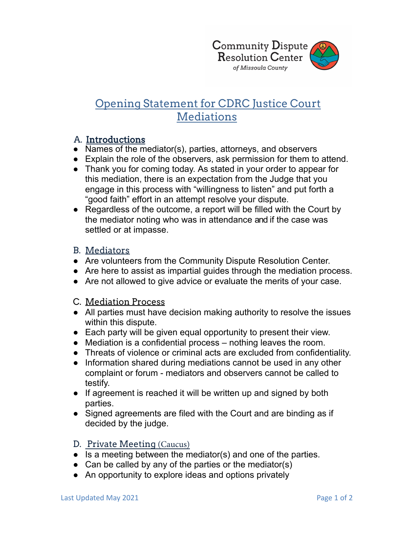

## Opening Statement for CDRC Justice Court **Mediations**

## A. Introductions

- Names of the mediator(s), parties, attorneys, and observers
- Explain the role of the observers, ask permission for them to attend.
- Thank you for coming today. As stated in your order to appear for this mediation, there is an expectation from the Judge that you engage in this process with "willingness to listen" and put forth a "good faith" effort in an attempt resolve your dispute.
- Regardless of the outcome, a report will be filled with the Court by the mediator noting who was in attendance and if the case was settled or at impasse.
- B. Mediators
- Are volunteers from the Community Dispute Resolution Center.
- Are here to assist as impartial guides through the mediation process.
- Are not allowed to give advice or evaluate the merits of your case.

## C. Mediation Process

- All parties must have decision making authority to resolve the issues within this dispute.
- Each party will be given equal opportunity to present their view.
- Mediation is a confidential process nothing leaves the room.
- Threats of violence or criminal acts are excluded from confidentiality.
- Information shared during mediations cannot be used in any other complaint or forum - mediators and observers cannot be called to testify.
- If agreement is reached it will be written up and signed by both parties.
- Signed agreements are filed with the Court and are binding as if decided by the judge.

## D. Private Meeting (Caucus)

- $\bullet$  Is a meeting between the mediator(s) and one of the parties.
- Can be called by any of the parties or the mediator(s)
- An opportunity to explore ideas and options privately